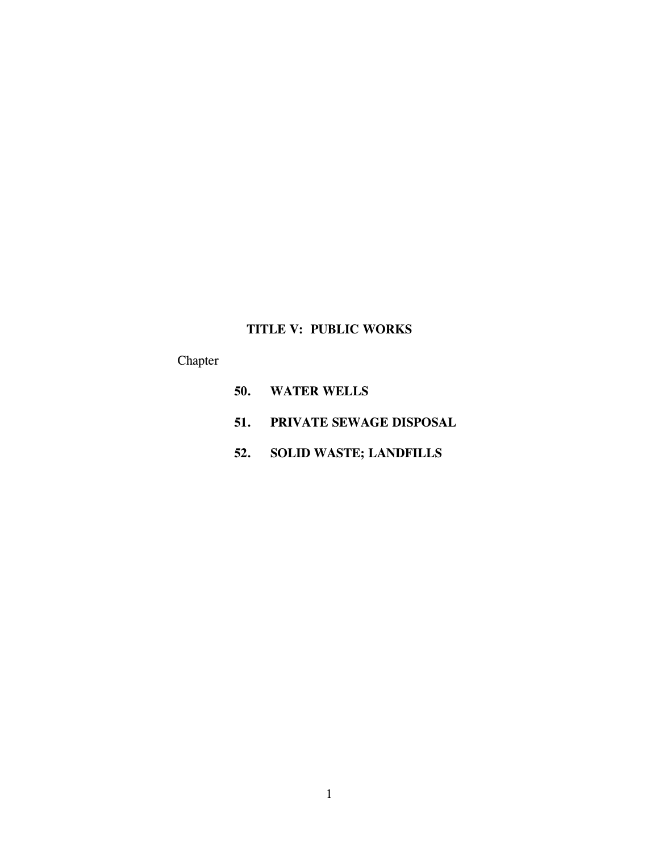# **TITLE V: PUBLIC WORKS**

# Chapter

- **50. WATER WELLS**
- **51. PRIVATE SEWAGE DISPOSAL**
- **52. SOLID WASTE; LANDFILLS**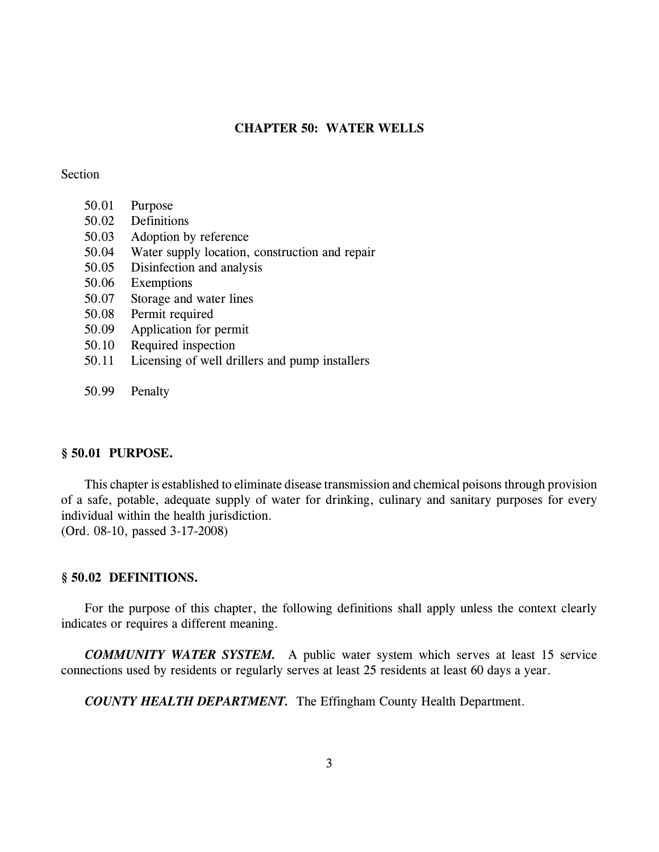# **CHAPTER 50: WATER WELLS**

### Section

- 50.01 Purpose
- 50.02 Definitions
- 50.03 Adoption by reference
- 50.04 Water supply location, construction and repair
- 50.05 Disinfection and analysis
- 50.06 Exemptions
- 50.07 Storage and water lines
- 50.08 Permit required
- 50.09 Application for permit
- 50.10 Required inspection
- 50.11 Licensing of well drillers and pump installers
- 50.99 Penalty

#### **§ 50.01 PURPOSE.**

This chapter is established to eliminate disease transmission and chemical poisons through provision of a safe, potable, adequate supply of water for drinking, culinary and sanitary purposes for every individual within the health jurisdiction. (Ord. 08-10, passed 3-17-2008)

#### **§ 50.02 DEFINITIONS.**

For the purpose of this chapter, the following definitions shall apply unless the context clearly indicates or requires a different meaning.

*COMMUNITY WATER SYSTEM.* A public water system which serves at least 15 service connections used by residents or regularly serves at least 25 residents at least 60 days a year.

*COUNTY HEALTH DEPARTMENT.* The Effingham County Health Department.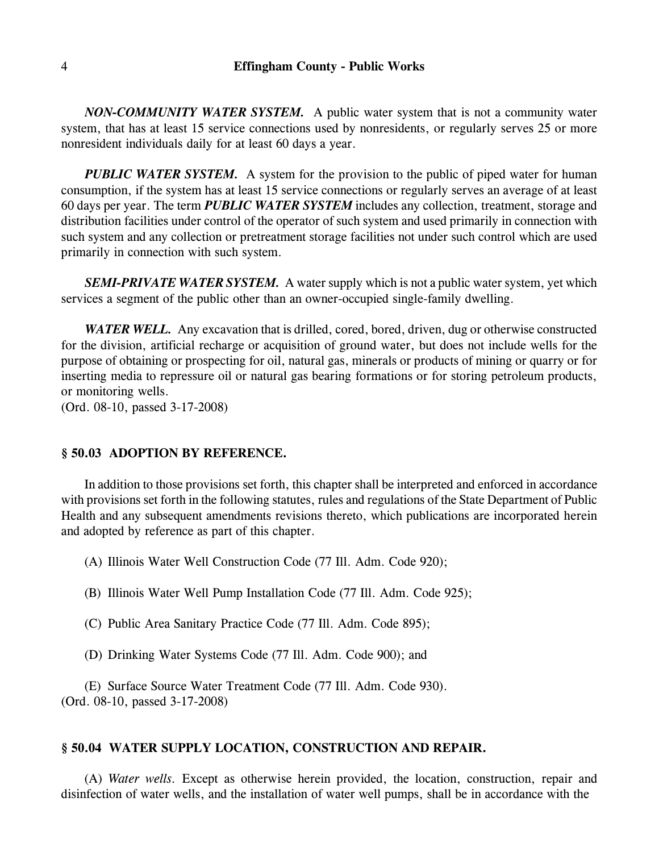*NON-COMMUNITY WATER SYSTEM.* A public water system that is not a community water system, that has at least 15 service connections used by nonresidents, or regularly serves 25 or more nonresident individuals daily for at least 60 days a year.

*PUBLIC WATER SYSTEM.* A system for the provision to the public of piped water for human consumption, if the system has at least 15 service connections or regularly serves an average of at least 60 days per year. The term *PUBLIC WATER SYSTEM* includes any collection, treatment, storage and distribution facilities under control of the operator of such system and used primarily in connection with such system and any collection or pretreatment storage facilities not under such control which are used primarily in connection with such system.

*SEMI-PRIVATE WATER SYSTEM.* A water supply which is not a public water system, yet which services a segment of the public other than an owner-occupied single-family dwelling.

**WATER WELL.** Any excavation that is drilled, cored, bored, driven, dug or otherwise constructed for the division, artificial recharge or acquisition of ground water, but does not include wells for the purpose of obtaining or prospecting for oil, natural gas, minerals or products of mining or quarry or for inserting media to repressure oil or natural gas bearing formations or for storing petroleum products, or monitoring wells.

(Ord. 08-10, passed 3-17-2008)

#### **§ 50.03 ADOPTION BY REFERENCE.**

In addition to those provisions set forth, this chapter shall be interpreted and enforced in accordance with provisions set forth in the following statutes, rules and regulations of the State Department of Public Health and any subsequent amendments revisions thereto, which publications are incorporated herein and adopted by reference as part of this chapter.

- (A) Illinois Water Well Construction Code (77 Ill. Adm. Code 920);
- (B) Illinois Water Well Pump Installation Code (77 Ill. Adm. Code 925);
- (C) Public Area Sanitary Practice Code (77 Ill. Adm. Code 895);
- (D) Drinking Water Systems Code (77 Ill. Adm. Code 900); and

(E) Surface Source Water Treatment Code (77 Ill. Adm. Code 930). (Ord. 08-10, passed 3-17-2008)

#### **§ 50.04 WATER SUPPLY LOCATION, CONSTRUCTION AND REPAIR.**

(A) *Water wells.* Except as otherwise herein provided, the location, construction, repair and disinfection of water wells, and the installation of water well pumps, shall be in accordance with the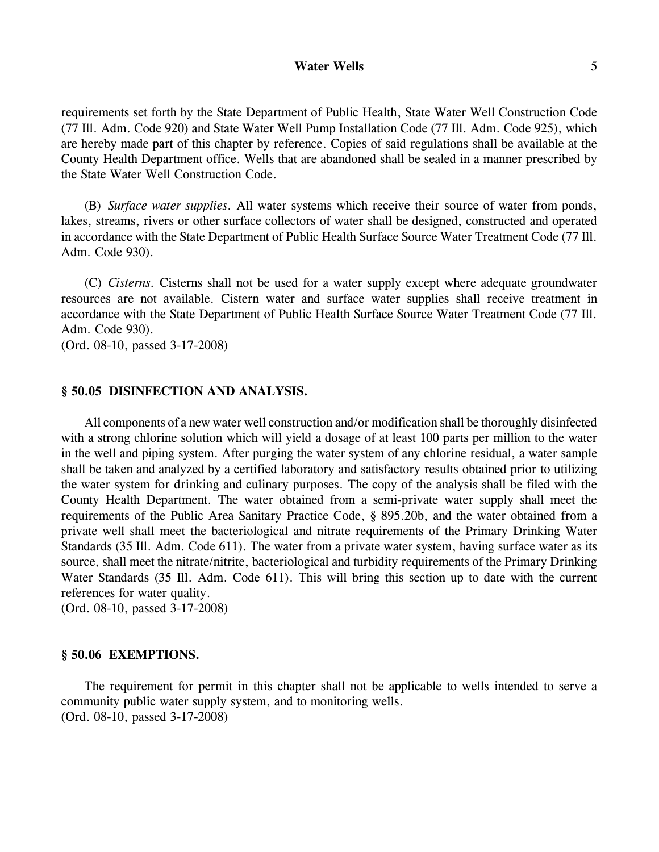### **Water Wells** 5

requirements set forth by the State Department of Public Health, State Water Well Construction Code (77 Ill. Adm. Code 920) and State Water Well Pump Installation Code (77 Ill. Adm. Code 925), which are hereby made part of this chapter by reference. Copies of said regulations shall be available at the County Health Department office. Wells that are abandoned shall be sealed in a manner prescribed by the State Water Well Construction Code.

(B) *Surface water supplies.* All water systems which receive their source of water from ponds, lakes, streams, rivers or other surface collectors of water shall be designed, constructed and operated in accordance with the State Department of Public Health Surface Source Water Treatment Code (77 Ill. Adm. Code 930).

(C) *Cisterns.* Cisterns shall not be used for a water supply except where adequate groundwater resources are not available. Cistern water and surface water supplies shall receive treatment in accordance with the State Department of Public Health Surface Source Water Treatment Code (77 Ill. Adm. Code 930).

(Ord. 08-10, passed 3-17-2008)

#### **§ 50.05 DISINFECTION AND ANALYSIS.**

All components of a new water well construction and/or modification shall be thoroughly disinfected with a strong chlorine solution which will yield a dosage of at least 100 parts per million to the water in the well and piping system. After purging the water system of any chlorine residual, a water sample shall be taken and analyzed by a certified laboratory and satisfactory results obtained prior to utilizing the water system for drinking and culinary purposes. The copy of the analysis shall be filed with the County Health Department. The water obtained from a semi-private water supply shall meet the requirements of the Public Area Sanitary Practice Code, § 895.20b, and the water obtained from a private well shall meet the bacteriological and nitrate requirements of the Primary Drinking Water Standards (35 Ill. Adm. Code 611). The water from a private water system, having surface water as its source, shall meet the nitrate/nitrite, bacteriological and turbidity requirements of the Primary Drinking Water Standards (35 Ill. Adm. Code 611). This will bring this section up to date with the current references for water quality.

(Ord. 08-10, passed 3-17-2008)

#### **§ 50.06 EXEMPTIONS.**

The requirement for permit in this chapter shall not be applicable to wells intended to serve a community public water supply system, and to monitoring wells. (Ord. 08-10, passed 3-17-2008)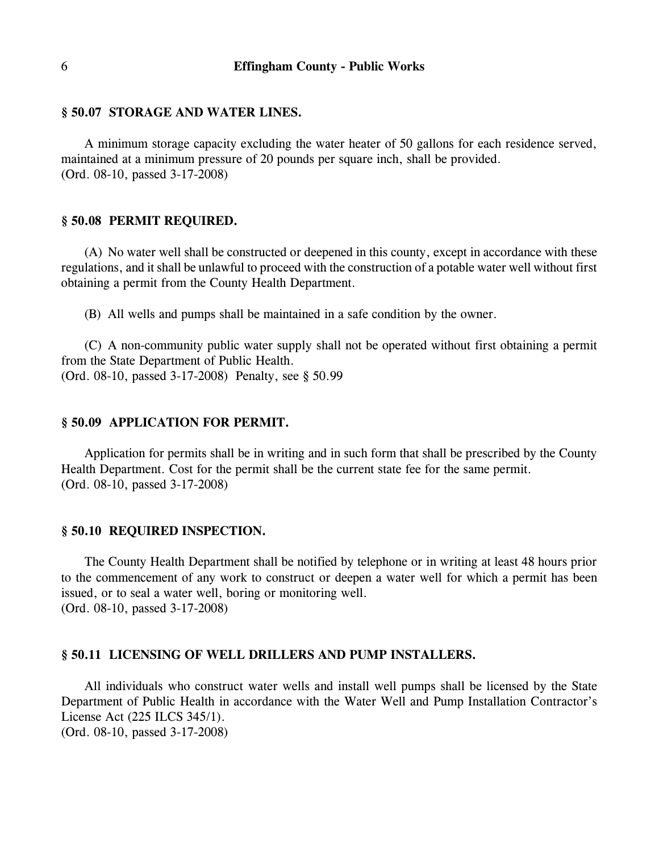# **§ 50.07 STORAGE AND WATER LINES.**

A minimum storage capacity excluding the water heater of 50 gallons for each residence served, maintained at a minimum pressure of 20 pounds per square inch, shall be provided. (Ord. 08-10, passed 3-17-2008)

# **§ 50.08 PERMIT REQUIRED.**

(A) No water well shall be constructed or deepened in this county, except in accordance with these regulations, and it shall be unlawful to proceed with the construction of a potable water well without first obtaining a permit from the County Health Department.

(B) All wells and pumps shall be maintained in a safe condition by the owner.

(C) A non-community public water supply shall not be operated without first obtaining a permit from the State Department of Public Health. (Ord. 08-10, passed 3-17-2008) Penalty, see § 50.99

#### **§ 50.09 APPLICATION FOR PERMIT.**

Application for permits shall be in writing and in such form that shall be prescribed by the County Health Department. Cost for the permit shall be the current state fee for the same permit. (Ord. 08-10, passed 3-17-2008)

# **§ 50.10 REQUIRED INSPECTION.**

The County Health Department shall be notified by telephone or in writing at least 48 hours prior to the commencement of any work to construct or deepen a water well for which a permit has been issued, or to seal a water well, boring or monitoring well. (Ord. 08-10, passed 3-17-2008)

#### **§ 50.11 LICENSING OF WELL DRILLERS AND PUMP INSTALLERS.**

All individuals who construct water wells and install well pumps shall be licensed by the State Department of Public Health in accordance with the Water Well and Pump Installation Contractor's License Act (225 ILCS 345/1).

(Ord. 08-10, passed 3-17-2008)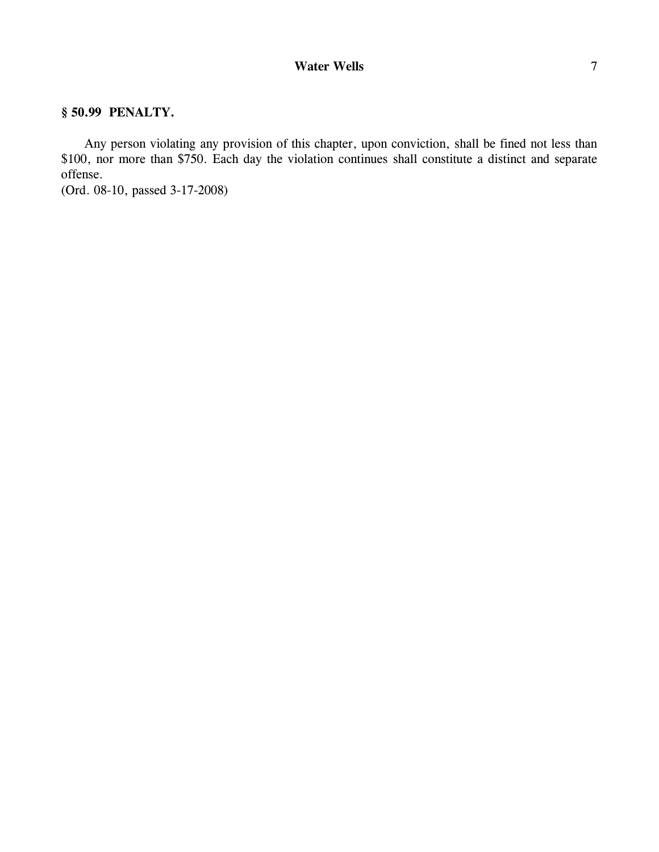# **§ 50.99 PENALTY.**

Any person violating any provision of this chapter, upon conviction, shall be fined not less than \$100, nor more than \$750. Each day the violation continues shall constitute a distinct and separate offense.

(Ord. 08-10, passed 3-17-2008)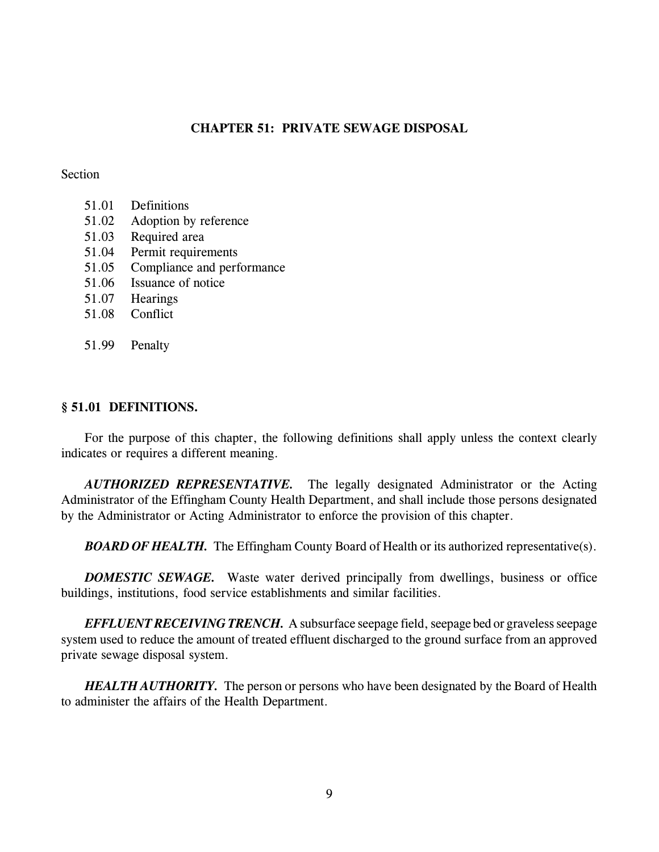# **CHAPTER 51: PRIVATE SEWAGE DISPOSAL**

### Section

- 51.01 Definitions
- 51.02 Adoption by reference
- 51.03 Required area
- 51.04 Permit requirements
- 51.05 Compliance and performance
- 51.06 Issuance of notice
- 51.07 Hearings
- 51.08 Conflict
- 51.99 Penalty

### **§ 51.01 DEFINITIONS.**

For the purpose of this chapter, the following definitions shall apply unless the context clearly indicates or requires a different meaning.

*AUTHORIZED REPRESENTATIVE.* The legally designated Administrator or the Acting Administrator of the Effingham County Health Department, and shall include those persons designated by the Administrator or Acting Administrator to enforce the provision of this chapter.

*BOARD OF HEALTH.* The Effingham County Board of Health or its authorized representative(s).

*DOMESTIC SEWAGE.* Waste water derived principally from dwellings, business or office buildings, institutions, food service establishments and similar facilities.

*EFFLUENT RECEIVING TRENCH.* A subsurface seepage field, seepage bed or graveless seepage system used to reduce the amount of treated effluent discharged to the ground surface from an approved private sewage disposal system.

*HEALTH AUTHORITY.* The person or persons who have been designated by the Board of Health to administer the affairs of the Health Department.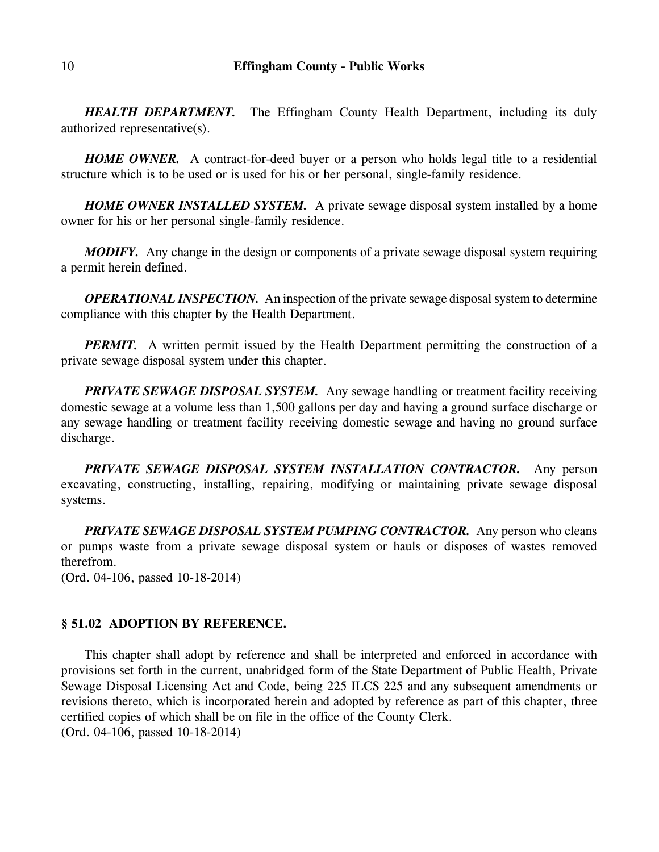*HEALTH DEPARTMENT.* The Effingham County Health Department, including its duly authorized representative(s).

*HOME OWNER.* A contract-for-deed buyer or a person who holds legal title to a residential structure which is to be used or is used for his or her personal, single-family residence.

*HOME OWNER INSTALLED SYSTEM.* A private sewage disposal system installed by a home owner for his or her personal single-family residence.

*MODIFY.* Any change in the design or components of a private sewage disposal system requiring a permit herein defined.

*OPERATIONAL INSPECTION.* An inspection of the private sewage disposal system to determine compliance with this chapter by the Health Department.

*PERMIT.* A written permit issued by the Health Department permitting the construction of a private sewage disposal system under this chapter.

*PRIVATE SEWAGE DISPOSAL SYSTEM.* Any sewage handling or treatment facility receiving domestic sewage at a volume less than 1,500 gallons per day and having a ground surface discharge or any sewage handling or treatment facility receiving domestic sewage and having no ground surface discharge.

*PRIVATE SEWAGE DISPOSAL SYSTEM INSTALLATION CONTRACTOR.* Any person excavating, constructing, installing, repairing, modifying or maintaining private sewage disposal systems.

*PRIVATE SEWAGE DISPOSAL SYSTEM PUMPING CONTRACTOR.* Any person who cleans or pumps waste from a private sewage disposal system or hauls or disposes of wastes removed therefrom.

(Ord. 04-106, passed 10-18-2014)

### **§ 51.02 ADOPTION BY REFERENCE.**

This chapter shall adopt by reference and shall be interpreted and enforced in accordance with provisions set forth in the current, unabridged form of the State Department of Public Health, Private Sewage Disposal Licensing Act and Code, being 225 ILCS 225 and any subsequent amendments or revisions thereto, which is incorporated herein and adopted by reference as part of this chapter, three certified copies of which shall be on file in the office of the County Clerk. (Ord. 04-106, passed 10-18-2014)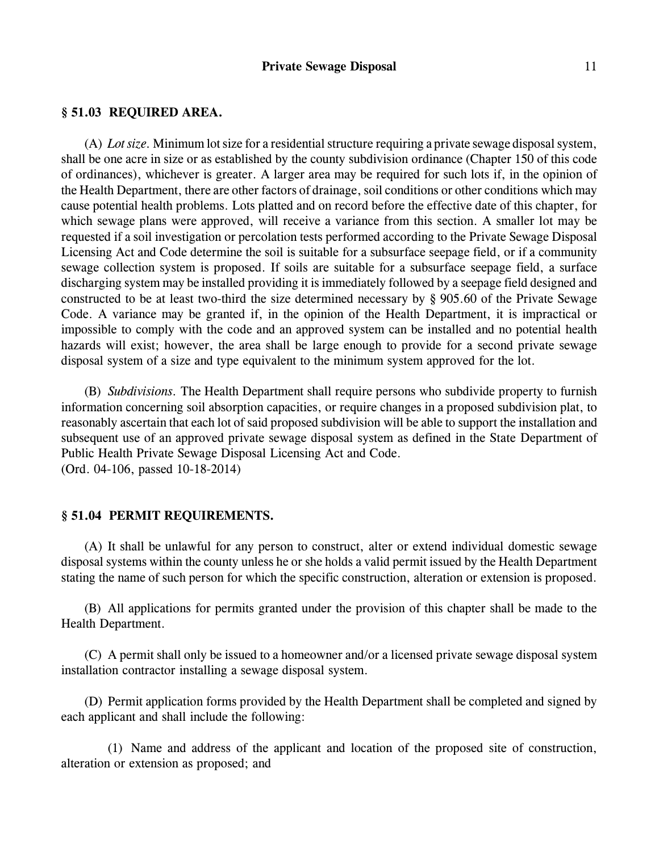# **§ 51.03 REQUIRED AREA.**

(A) *Lot size.* Minimum lot size for a residential structure requiring a private sewage disposal system, shall be one acre in size or as established by the county subdivision ordinance (Chapter 150 of this code of ordinances), whichever is greater. A larger area may be required for such lots if, in the opinion of the Health Department, there are other factors of drainage, soil conditions or other conditions which may cause potential health problems. Lots platted and on record before the effective date of this chapter, for which sewage plans were approved, will receive a variance from this section. A smaller lot may be requested if a soil investigation or percolation tests performed according to the Private Sewage Disposal Licensing Act and Code determine the soil is suitable for a subsurface seepage field, or if a community sewage collection system is proposed. If soils are suitable for a subsurface seepage field, a surface discharging system may be installed providing it is immediately followed by a seepage field designed and constructed to be at least two-third the size determined necessary by § 905.60 of the Private Sewage Code. A variance may be granted if, in the opinion of the Health Department, it is impractical or impossible to comply with the code and an approved system can be installed and no potential health hazards will exist; however, the area shall be large enough to provide for a second private sewage disposal system of a size and type equivalent to the minimum system approved for the lot.

(B) *Subdivisions.* The Health Department shall require persons who subdivide property to furnish information concerning soil absorption capacities, or require changes in a proposed subdivision plat, to reasonably ascertain that each lot of said proposed subdivision will be able to support the installation and subsequent use of an approved private sewage disposal system as defined in the State Department of Public Health Private Sewage Disposal Licensing Act and Code. (Ord. 04-106, passed 10-18-2014)

# **§ 51.04 PERMIT REQUIREMENTS.**

(A) It shall be unlawful for any person to construct, alter or extend individual domestic sewage disposal systems within the county unless he or she holds a valid permit issued by the Health Department stating the name of such person for which the specific construction, alteration or extension is proposed.

(B) All applications for permits granted under the provision of this chapter shall be made to the Health Department.

(C) A permit shall only be issued to a homeowner and/or a licensed private sewage disposal system installation contractor installing a sewage disposal system.

(D) Permit application forms provided by the Health Department shall be completed and signed by each applicant and shall include the following:

(1) Name and address of the applicant and location of the proposed site of construction, alteration or extension as proposed; and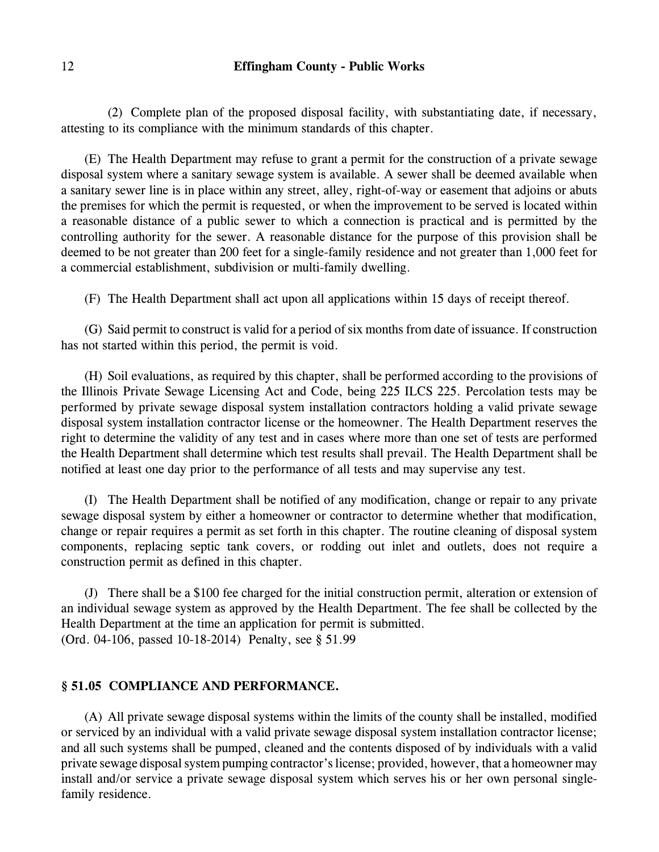(2) Complete plan of the proposed disposal facility, with substantiating date, if necessary, attesting to its compliance with the minimum standards of this chapter.

(E) The Health Department may refuse to grant a permit for the construction of a private sewage disposal system where a sanitary sewage system is available. A sewer shall be deemed available when a sanitary sewer line is in place within any street, alley, right-of-way or easement that adjoins or abuts the premises for which the permit is requested, or when the improvement to be served is located within a reasonable distance of a public sewer to which a connection is practical and is permitted by the controlling authority for the sewer. A reasonable distance for the purpose of this provision shall be deemed to be not greater than 200 feet for a single-family residence and not greater than 1,000 feet for a commercial establishment, subdivision or multi-family dwelling.

(F) The Health Department shall act upon all applications within 15 days of receipt thereof.

(G) Said permit to construct is valid for a period of six months from date of issuance. If construction has not started within this period, the permit is void.

(H) Soil evaluations, as required by this chapter, shall be performed according to the provisions of the Illinois Private Sewage Licensing Act and Code, being 225 ILCS 225. Percolation tests may be performed by private sewage disposal system installation contractors holding a valid private sewage disposal system installation contractor license or the homeowner. The Health Department reserves the right to determine the validity of any test and in cases where more than one set of tests are performed the Health Department shall determine which test results shall prevail. The Health Department shall be notified at least one day prior to the performance of all tests and may supervise any test.

(I) The Health Department shall be notified of any modification, change or repair to any private sewage disposal system by either a homeowner or contractor to determine whether that modification, change or repair requires a permit as set forth in this chapter. The routine cleaning of disposal system components, replacing septic tank covers, or rodding out inlet and outlets, does not require a construction permit as defined in this chapter.

(J) There shall be a \$100 fee charged for the initial construction permit, alteration or extension of an individual sewage system as approved by the Health Department. The fee shall be collected by the Health Department at the time an application for permit is submitted. (Ord. 04-106, passed 10-18-2014) Penalty, see § 51.99

# **§ 51.05 COMPLIANCE AND PERFORMANCE.**

(A) All private sewage disposal systems within the limits of the county shall be installed, modified or serviced by an individual with a valid private sewage disposal system installation contractor license; and all such systems shall be pumped, cleaned and the contents disposed of by individuals with a valid private sewage disposal system pumping contractor's license; provided, however, that a homeowner may install and/or service a private sewage disposal system which serves his or her own personal singlefamily residence.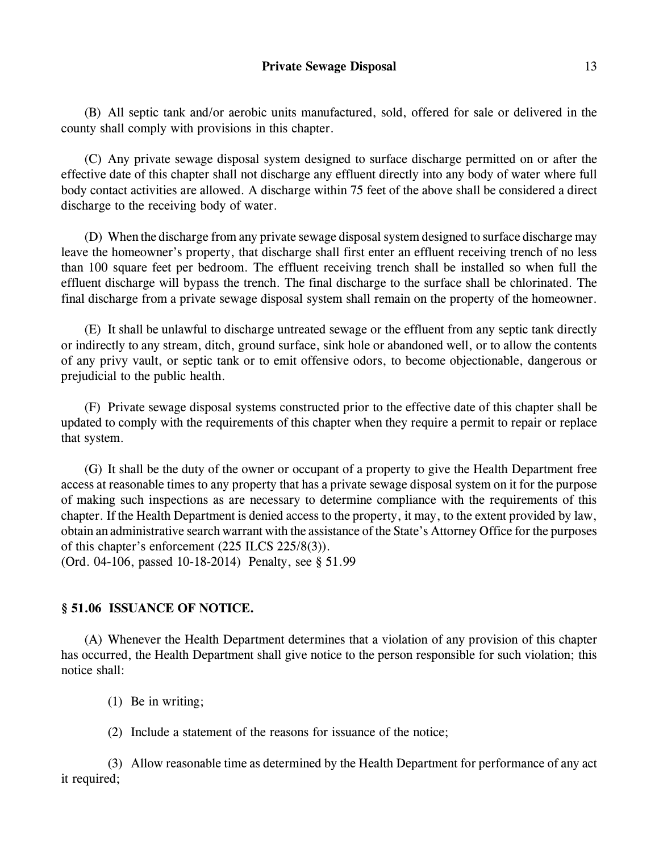(B) All septic tank and/or aerobic units manufactured, sold, offered for sale or delivered in the county shall comply with provisions in this chapter.

(C) Any private sewage disposal system designed to surface discharge permitted on or after the effective date of this chapter shall not discharge any effluent directly into any body of water where full body contact activities are allowed. A discharge within 75 feet of the above shall be considered a direct discharge to the receiving body of water.

(D) When the discharge from any private sewage disposal system designed to surface discharge may leave the homeowner's property, that discharge shall first enter an effluent receiving trench of no less than 100 square feet per bedroom. The effluent receiving trench shall be installed so when full the effluent discharge will bypass the trench. The final discharge to the surface shall be chlorinated. The final discharge from a private sewage disposal system shall remain on the property of the homeowner.

(E) It shall be unlawful to discharge untreated sewage or the effluent from any septic tank directly or indirectly to any stream, ditch, ground surface, sink hole or abandoned well, or to allow the contents of any privy vault, or septic tank or to emit offensive odors, to become objectionable, dangerous or prejudicial to the public health.

(F) Private sewage disposal systems constructed prior to the effective date of this chapter shall be updated to comply with the requirements of this chapter when they require a permit to repair or replace that system.

(G) It shall be the duty of the owner or occupant of a property to give the Health Department free access at reasonable times to any property that has a private sewage disposal system on it for the purpose of making such inspections as are necessary to determine compliance with the requirements of this chapter. If the Health Department is denied access to the property, it may, to the extent provided by law, obtain an administrative search warrant with the assistance of the State's Attorney Office for the purposes of this chapter's enforcement (225 ILCS 225/8(3)). (Ord. 04-106, passed 10-18-2014) Penalty, see § 51.99

# **§ 51.06 ISSUANCE OF NOTICE.**

(A) Whenever the Health Department determines that a violation of any provision of this chapter has occurred, the Health Department shall give notice to the person responsible for such violation; this notice shall:

- (1) Be in writing;
- (2) Include a statement of the reasons for issuance of the notice;

(3) Allow reasonable time as determined by the Health Department for performance of any act it required;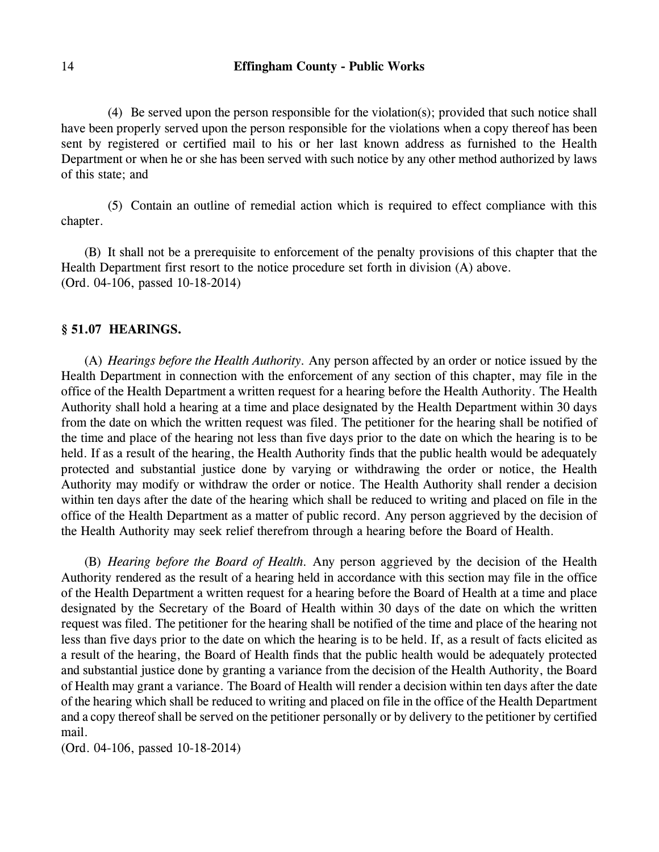(4) Be served upon the person responsible for the violation(s); provided that such notice shall have been properly served upon the person responsible for the violations when a copy thereof has been sent by registered or certified mail to his or her last known address as furnished to the Health Department or when he or she has been served with such notice by any other method authorized by laws of this state; and

(5) Contain an outline of remedial action which is required to effect compliance with this chapter.

(B) It shall not be a prerequisite to enforcement of the penalty provisions of this chapter that the Health Department first resort to the notice procedure set forth in division (A) above. (Ord. 04-106, passed 10-18-2014)

#### **§ 51.07 HEARINGS.**

(A) *Hearings before the Health Authority.* Any person affected by an order or notice issued by the Health Department in connection with the enforcement of any section of this chapter, may file in the office of the Health Department a written request for a hearing before the Health Authority. The Health Authority shall hold a hearing at a time and place designated by the Health Department within 30 days from the date on which the written request was filed. The petitioner for the hearing shall be notified of the time and place of the hearing not less than five days prior to the date on which the hearing is to be held. If as a result of the hearing, the Health Authority finds that the public health would be adequately protected and substantial justice done by varying or withdrawing the order or notice, the Health Authority may modify or withdraw the order or notice. The Health Authority shall render a decision within ten days after the date of the hearing which shall be reduced to writing and placed on file in the office of the Health Department as a matter of public record. Any person aggrieved by the decision of the Health Authority may seek relief therefrom through a hearing before the Board of Health.

(B) *Hearing before the Board of Health.* Any person aggrieved by the decision of the Health Authority rendered as the result of a hearing held in accordance with this section may file in the office of the Health Department a written request for a hearing before the Board of Health at a time and place designated by the Secretary of the Board of Health within 30 days of the date on which the written request was filed. The petitioner for the hearing shall be notified of the time and place of the hearing not less than five days prior to the date on which the hearing is to be held. If, as a result of facts elicited as a result of the hearing, the Board of Health finds that the public health would be adequately protected and substantial justice done by granting a variance from the decision of the Health Authority, the Board of Health may grant a variance. The Board of Health will render a decision within ten days after the date of the hearing which shall be reduced to writing and placed on file in the office of the Health Department and a copy thereof shall be served on the petitioner personally or by delivery to the petitioner by certified mail.

(Ord. 04-106, passed 10-18-2014)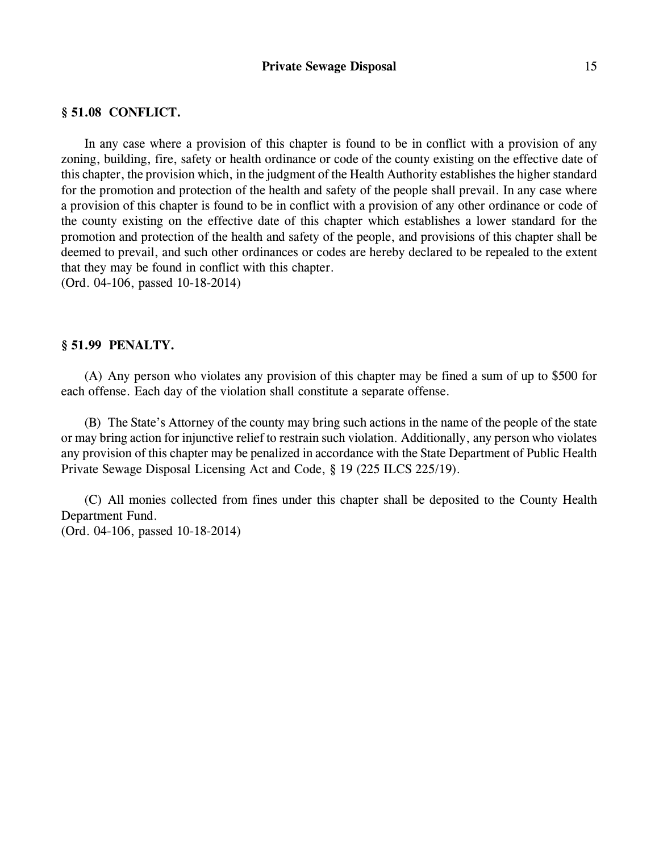# **§ 51.08 CONFLICT.**

In any case where a provision of this chapter is found to be in conflict with a provision of any zoning, building, fire, safety or health ordinance or code of the county existing on the effective date of this chapter, the provision which, in the judgment of the Health Authority establishes the higher standard for the promotion and protection of the health and safety of the people shall prevail. In any case where a provision of this chapter is found to be in conflict with a provision of any other ordinance or code of the county existing on the effective date of this chapter which establishes a lower standard for the promotion and protection of the health and safety of the people, and provisions of this chapter shall be deemed to prevail, and such other ordinances or codes are hereby declared to be repealed to the extent that they may be found in conflict with this chapter.

(Ord. 04-106, passed 10-18-2014)

# **§ 51.99 PENALTY.**

(A) Any person who violates any provision of this chapter may be fined a sum of up to \$500 for each offense. Each day of the violation shall constitute a separate offense.

(B) The State's Attorney of the county may bring such actions in the name of the people of the state or may bring action for injunctive relief to restrain such violation. Additionally, any person who violates any provision of this chapter may be penalized in accordance with the State Department of Public Health Private Sewage Disposal Licensing Act and Code, § 19 (225 ILCS 225/19).

(C) All monies collected from fines under this chapter shall be deposited to the County Health Department Fund. (Ord. 04-106, passed 10-18-2014)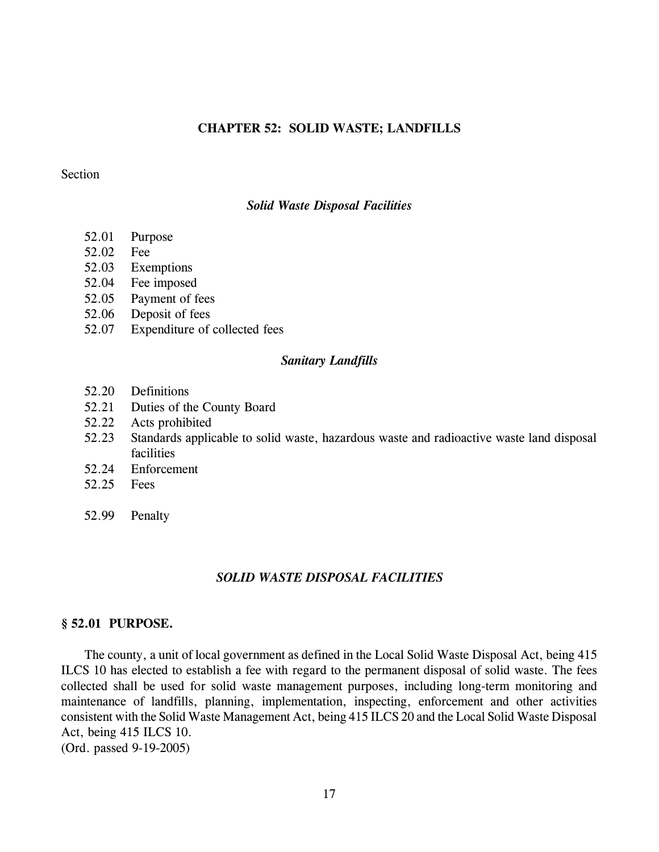### **CHAPTER 52: SOLID WASTE; LANDFILLS**

# **Section**

### *Solid Waste Disposal Facilities*

- 52.01 Purpose
- 52.02 Fee
- 52.03 Exemptions
- 52.04 Fee imposed
- 52.05 Payment of fees
- 52.06 Deposit of fees
- 52.07 Expenditure of collected fees

### *Sanitary Landfills*

- 52.20 Definitions
- 52.21 Duties of the County Board
- 52.22 Acts prohibited
- 52.23 Standards applicable to solid waste, hazardous waste and radioactive waste land disposal facilities
- 52.24 Enforcement
- 52.25 Fees
- 52.99 Penalty

### *SOLID WASTE DISPOSAL FACILITIES*

### **§ 52.01 PURPOSE.**

The county, a unit of local government as defined in the Local Solid Waste Disposal Act, being 415 ILCS 10 has elected to establish a fee with regard to the permanent disposal of solid waste. The fees collected shall be used for solid waste management purposes, including long-term monitoring and maintenance of landfills, planning, implementation, inspecting, enforcement and other activities consistent with the Solid Waste Management Act, being 415 ILCS 20 and the Local Solid Waste Disposal Act, being 415 ILCS 10. (Ord. passed 9-19-2005)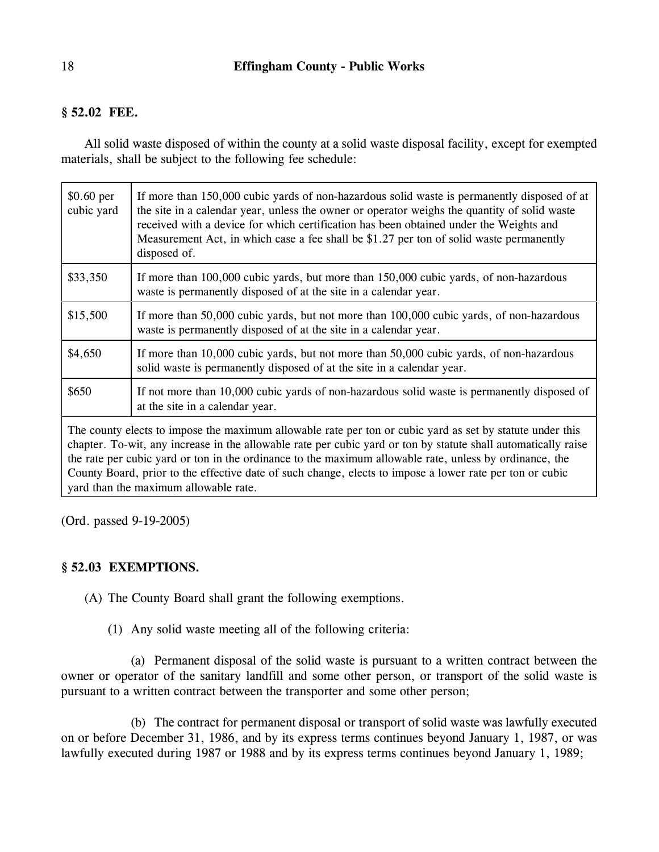# **§ 52.02 FEE.**

All solid waste disposed of within the county at a solid waste disposal facility, except for exempted materials, shall be subject to the following fee schedule:

| $$0.60$ per<br>cubic yard                                                                                                                                                                                                                                                                                                                                                                                                                                                                   | If more than 150,000 cubic yards of non-hazardous solid waste is permanently disposed of at<br>the site in a calendar year, unless the owner or operator weighs the quantity of solid waste<br>received with a device for which certification has been obtained under the Weights and<br>Measurement Act, in which case a fee shall be \$1.27 per ton of solid waste permanently<br>disposed of. |
|---------------------------------------------------------------------------------------------------------------------------------------------------------------------------------------------------------------------------------------------------------------------------------------------------------------------------------------------------------------------------------------------------------------------------------------------------------------------------------------------|--------------------------------------------------------------------------------------------------------------------------------------------------------------------------------------------------------------------------------------------------------------------------------------------------------------------------------------------------------------------------------------------------|
| \$33,350                                                                                                                                                                                                                                                                                                                                                                                                                                                                                    | If more than 100,000 cubic yards, but more than 150,000 cubic yards, of non-hazardous<br>waste is permanently disposed of at the site in a calendar year.                                                                                                                                                                                                                                        |
| \$15,500                                                                                                                                                                                                                                                                                                                                                                                                                                                                                    | If more than 50,000 cubic yards, but not more than 100,000 cubic yards, of non-hazardous<br>waste is permanently disposed of at the site in a calendar year.                                                                                                                                                                                                                                     |
| \$4,650                                                                                                                                                                                                                                                                                                                                                                                                                                                                                     | If more than 10,000 cubic yards, but not more than 50,000 cubic yards, of non-hazardous<br>solid waste is permanently disposed of at the site in a calendar year.                                                                                                                                                                                                                                |
| \$650                                                                                                                                                                                                                                                                                                                                                                                                                                                                                       | If not more than 10,000 cubic yards of non-hazardous solid waste is permanently disposed of<br>at the site in a calendar year.                                                                                                                                                                                                                                                                   |
| The county elects to impose the maximum allowable rate per ton or cubic yard as set by statute under this<br>chapter. To-wit, any increase in the allowable rate per cubic yard or ton by statute shall automatically raise<br>the rate per cubic yard or ton in the ordinance to the maximum allowable rate, unless by ordinance, the<br>County Board, prior to the effective date of such change, elects to impose a lower rate per ton or cubic<br>yard than the maximum allowable rate. |                                                                                                                                                                                                                                                                                                                                                                                                  |

(Ord. passed 9-19-2005)

# **§ 52.03 EXEMPTIONS.**

(A) The County Board shall grant the following exemptions.

(1) Any solid waste meeting all of the following criteria:

(a) Permanent disposal of the solid waste is pursuant to a written contract between the owner or operator of the sanitary landfill and some other person, or transport of the solid waste is pursuant to a written contract between the transporter and some other person;

(b) The contract for permanent disposal or transport of solid waste was lawfully executed on or before December 31, 1986, and by its express terms continues beyond January 1, 1987, or was lawfully executed during 1987 or 1988 and by its express terms continues beyond January 1, 1989;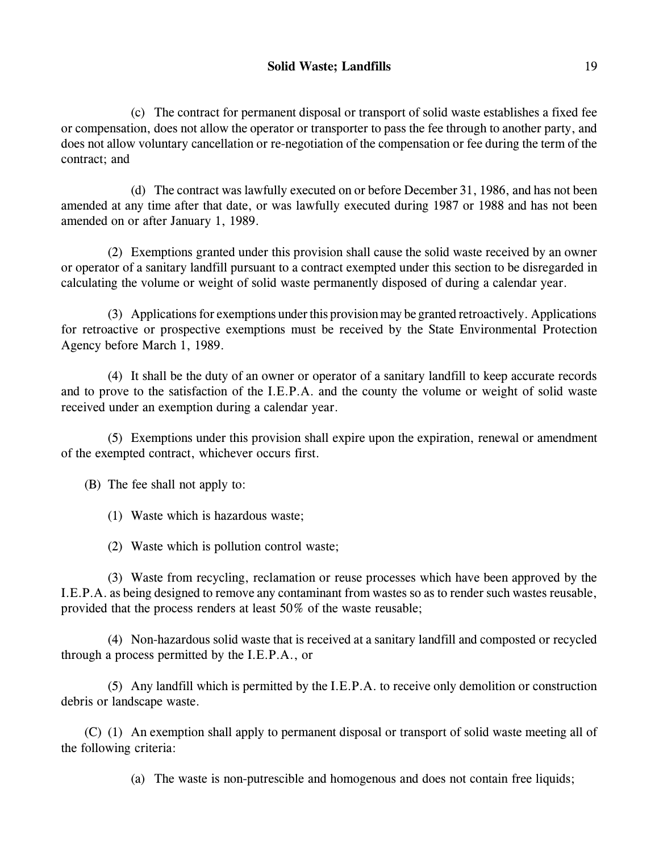(c) The contract for permanent disposal or transport of solid waste establishes a fixed fee or compensation, does not allow the operator or transporter to pass the fee through to another party, and does not allow voluntary cancellation or re-negotiation of the compensation or fee during the term of the contract; and

(d) The contract was lawfully executed on or before December 31, 1986, and has not been amended at any time after that date, or was lawfully executed during 1987 or 1988 and has not been amended on or after January 1, 1989.

(2) Exemptions granted under this provision shall cause the solid waste received by an owner or operator of a sanitary landfill pursuant to a contract exempted under this section to be disregarded in calculating the volume or weight of solid waste permanently disposed of during a calendar year.

(3) Applications for exemptions underthis provision may be granted retroactively. Applications for retroactive or prospective exemptions must be received by the State Environmental Protection Agency before March 1, 1989.

(4) It shall be the duty of an owner or operator of a sanitary landfill to keep accurate records and to prove to the satisfaction of the I.E.P.A. and the county the volume or weight of solid waste received under an exemption during a calendar year.

(5) Exemptions under this provision shall expire upon the expiration, renewal or amendment of the exempted contract, whichever occurs first.

(B) The fee shall not apply to:

(1) Waste which is hazardous waste;

(2) Waste which is pollution control waste;

(3) Waste from recycling, reclamation or reuse processes which have been approved by the I.E.P.A. as being designed to remove any contaminant from wastes so as to render such wastes reusable, provided that the process renders at least 50% of the waste reusable;

(4) Non-hazardous solid waste that is received at a sanitary landfill and composted or recycled through a process permitted by the I.E.P.A., or

(5) Any landfill which is permitted by the I.E.P.A. to receive only demolition or construction debris or landscape waste.

(C) (1) An exemption shall apply to permanent disposal or transport of solid waste meeting all of the following criteria:

(a) The waste is non-putrescible and homogenous and does not contain free liquids;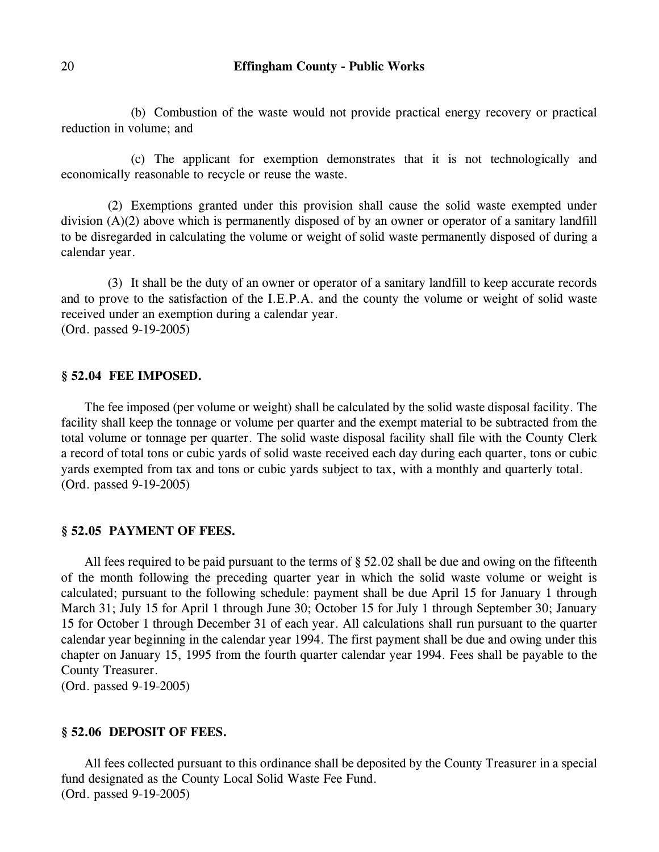(b) Combustion of the waste would not provide practical energy recovery or practical reduction in volume; and

(c) The applicant for exemption demonstrates that it is not technologically and economically reasonable to recycle or reuse the waste.

(2) Exemptions granted under this provision shall cause the solid waste exempted under division (A)(2) above which is permanently disposed of by an owner or operator of a sanitary landfill to be disregarded in calculating the volume or weight of solid waste permanently disposed of during a calendar year.

(3) It shall be the duty of an owner or operator of a sanitary landfill to keep accurate records and to prove to the satisfaction of the I.E.P.A. and the county the volume or weight of solid waste received under an exemption during a calendar year. (Ord. passed 9-19-2005)

#### **§ 52.04 FEE IMPOSED.**

The fee imposed (per volume or weight) shall be calculated by the solid waste disposal facility. The facility shall keep the tonnage or volume per quarter and the exempt material to be subtracted from the total volume or tonnage per quarter. The solid waste disposal facility shall file with the County Clerk a record of total tons or cubic yards of solid waste received each day during each quarter, tons or cubic yards exempted from tax and tons or cubic yards subject to tax, with a monthly and quarterly total. (Ord. passed 9-19-2005)

# **§ 52.05 PAYMENT OF FEES.**

All fees required to be paid pursuant to the terms of § 52.02 shall be due and owing on the fifteenth of the month following the preceding quarter year in which the solid waste volume or weight is calculated; pursuant to the following schedule: payment shall be due April 15 for January 1 through March 31; July 15 for April 1 through June 30; October 15 for July 1 through September 30; January 15 for October 1 through December 31 of each year. All calculations shall run pursuant to the quarter calendar year beginning in the calendar year 1994. The first payment shall be due and owing under this chapter on January 15, 1995 from the fourth quarter calendar year 1994. Fees shall be payable to the County Treasurer.

(Ord. passed 9-19-2005)

#### **§ 52.06 DEPOSIT OF FEES.**

All fees collected pursuant to this ordinance shall be deposited by the County Treasurer in a special fund designated as the County Local Solid Waste Fee Fund. (Ord. passed 9-19-2005)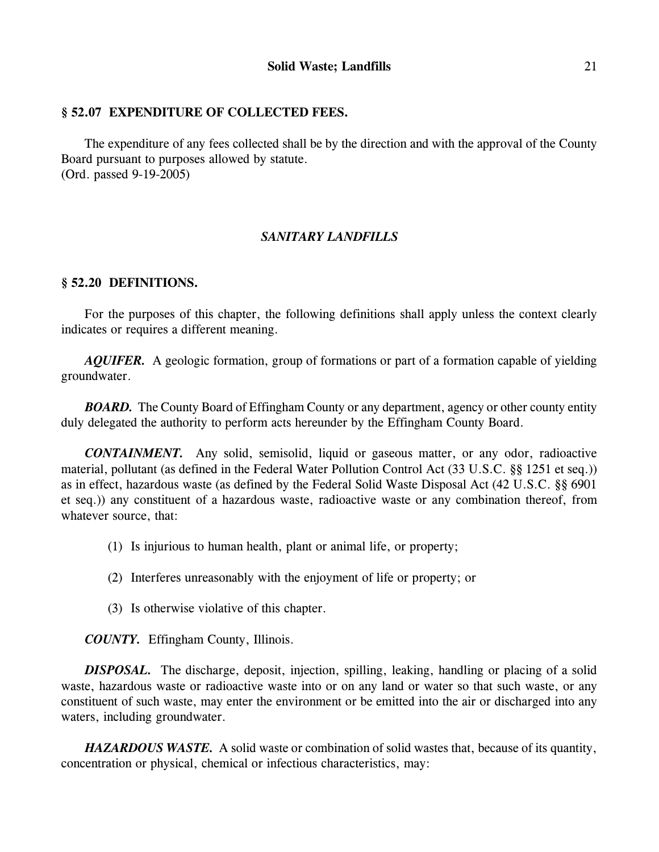# **§ 52.07 EXPENDITURE OF COLLECTED FEES.**

The expenditure of any fees collected shall be by the direction and with the approval of the County Board pursuant to purposes allowed by statute. (Ord. passed 9-19-2005)

# *SANITARY LANDFILLS*

# **§ 52.20 DEFINITIONS.**

For the purposes of this chapter, the following definitions shall apply unless the context clearly indicates or requires a different meaning.

*AQUIFER.* A geologic formation, group of formations or part of a formation capable of yielding groundwater.

*BOARD.* The County Board of Effingham County or any department, agency or other county entity duly delegated the authority to perform acts hereunder by the Effingham County Board.

*CONTAINMENT.* Any solid, semisolid, liquid or gaseous matter, or any odor, radioactive material, pollutant (as defined in the Federal Water Pollution Control Act (33 U.S.C. §§ 1251 et seq.)) as in effect, hazardous waste (as defined by the Federal Solid Waste Disposal Act (42 U.S.C. §§ 6901 et seq.)) any constituent of a hazardous waste, radioactive waste or any combination thereof, from whatever source, that:

- (1) Is injurious to human health, plant or animal life, or property;
- (2) Interferes unreasonably with the enjoyment of life or property; or
- (3) Is otherwise violative of this chapter.

*COUNTY.* Effingham County, Illinois.

*DISPOSAL.* The discharge, deposit, injection, spilling, leaking, handling or placing of a solid waste, hazardous waste or radioactive waste into or on any land or water so that such waste, or any constituent of such waste, may enter the environment or be emitted into the air or discharged into any waters, including groundwater.

*HAZARDOUS WASTE.* A solid waste or combination of solid wastes that, because of its quantity, concentration or physical, chemical or infectious characteristics, may: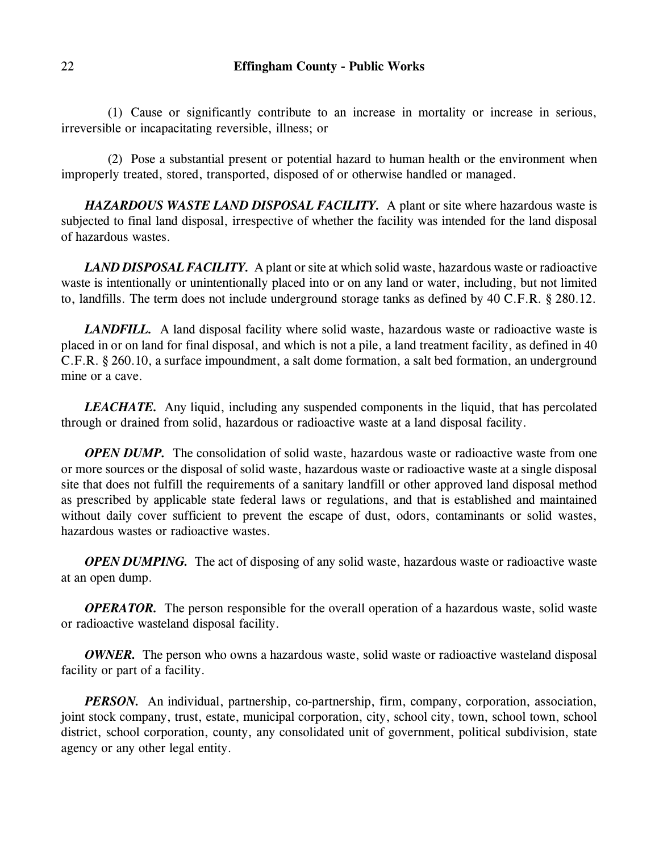(1) Cause or significantly contribute to an increase in mortality or increase in serious, irreversible or incapacitating reversible, illness; or

(2) Pose a substantial present or potential hazard to human health or the environment when improperly treated, stored, transported, disposed of or otherwise handled or managed.

*HAZARDOUS WASTE LAND DISPOSAL FACILITY.* A plant or site where hazardous waste is subjected to final land disposal, irrespective of whether the facility was intended for the land disposal of hazardous wastes.

*LAND DISPOSAL FACILITY.* A plant or site at which solid waste, hazardous waste or radioactive waste is intentionally or unintentionally placed into or on any land or water, including, but not limited to, landfills. The term does not include underground storage tanks as defined by 40 C.F.R. § 280.12.

*LANDFILL.* A land disposal facility where solid waste, hazardous waste or radioactive waste is placed in or on land for final disposal, and which is not a pile, a land treatment facility, as defined in 40 C.F.R. § 260.10, a surface impoundment, a salt dome formation, a salt bed formation, an underground mine or a cave.

*LEACHATE.* Any liquid, including any suspended components in the liquid, that has percolated through or drained from solid, hazardous or radioactive waste at a land disposal facility.

*OPEN DUMP.* The consolidation of solid waste, hazardous waste or radioactive waste from one or more sources or the disposal of solid waste, hazardous waste or radioactive waste at a single disposal site that does not fulfill the requirements of a sanitary landfill or other approved land disposal method as prescribed by applicable state federal laws or regulations, and that is established and maintained without daily cover sufficient to prevent the escape of dust, odors, contaminants or solid wastes, hazardous wastes or radioactive wastes.

*OPEN DUMPING*. The act of disposing of any solid waste, hazardous waste or radioactive waste at an open dump.

*OPERATOR.* The person responsible for the overall operation of a hazardous waste, solid waste or radioactive wasteland disposal facility.

*OWNER*. The person who owns a hazardous waste, solid waste or radioactive wasteland disposal facility or part of a facility.

*PERSON.* An individual, partnership, co-partnership, firm, company, corporation, association, joint stock company, trust, estate, municipal corporation, city, school city, town, school town, school district, school corporation, county, any consolidated unit of government, political subdivision, state agency or any other legal entity.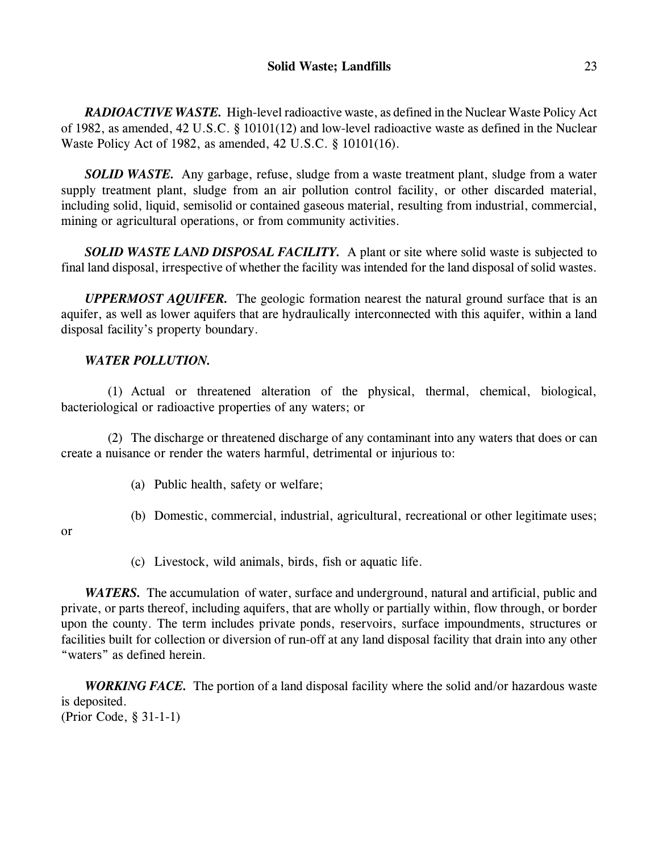*RADIOACTIVE WASTE.* High-level radioactive waste, as defined in the Nuclear Waste Policy Act of 1982, as amended, 42 U.S.C. § 10101(12) and low-level radioactive waste as defined in the Nuclear Waste Policy Act of 1982, as amended, 42 U.S.C. § 10101(16).

*SOLID WASTE.* Any garbage, refuse, sludge from a waste treatment plant, sludge from a water supply treatment plant, sludge from an air pollution control facility, or other discarded material, including solid, liquid, semisolid or contained gaseous material, resulting from industrial, commercial, mining or agricultural operations, or from community activities.

*SOLID WASTE LAND DISPOSAL FACILITY.* A plant or site where solid waste is subjected to final land disposal, irrespective of whether the facility was intended for the land disposal of solid wastes.

*UPPERMOST AQUIFER.* The geologic formation nearest the natural ground surface that is an aquifer, as well as lower aquifers that are hydraulically interconnected with this aquifer, within a land disposal facility's property boundary.

# *WATER POLLUTION.*

(1) Actual or threatened alteration of the physical, thermal, chemical, biological, bacteriological or radioactive properties of any waters; or

(2) The discharge or threatened discharge of any contaminant into any waters that does or can create a nuisance or render the waters harmful, detrimental or injurious to:

- (a) Public health, safety or welfare;
- (b) Domestic, commercial, industrial, agricultural, recreational or other legitimate uses;
- or
- (c) Livestock, wild animals, birds, fish or aquatic life.

*WATERS.* The accumulation of water, surface and underground, natural and artificial, public and private, or parts thereof, including aquifers, that are wholly or partially within, flow through, or border upon the county. The term includes private ponds, reservoirs, surface impoundments, structures or facilities built for collection or diversion of run-off at any land disposal facility that drain into any other "waters" as defined herein.

*WORKING FACE.* The portion of a land disposal facility where the solid and/or hazardous waste is deposited. (Prior Code, § 31-1-1)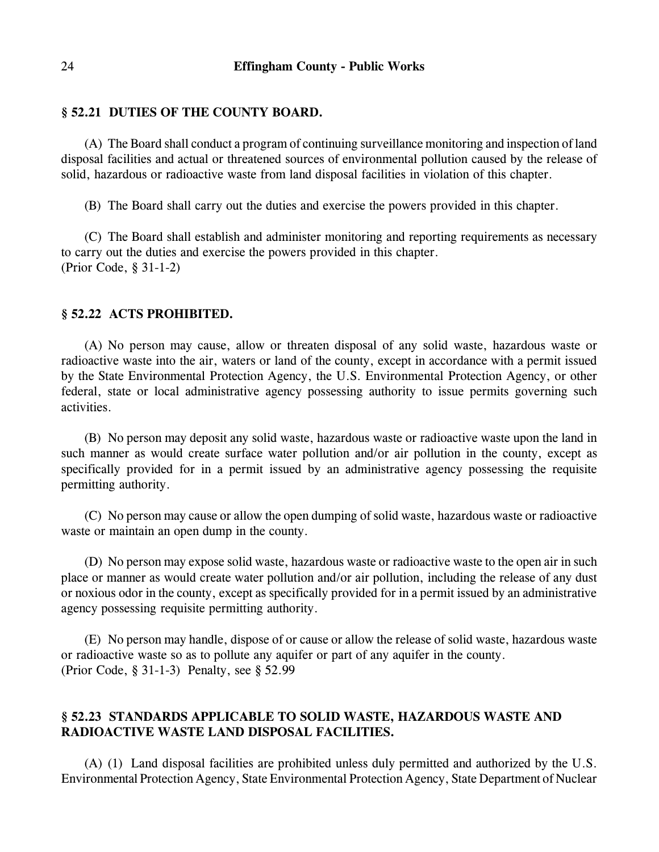# **§ 52.21 DUTIES OF THE COUNTY BOARD.**

(A) The Board shall conduct a program of continuing surveillance monitoring and inspection of land disposal facilities and actual or threatened sources of environmental pollution caused by the release of solid, hazardous or radioactive waste from land disposal facilities in violation of this chapter.

(B) The Board shall carry out the duties and exercise the powers provided in this chapter.

(C) The Board shall establish and administer monitoring and reporting requirements as necessary to carry out the duties and exercise the powers provided in this chapter. (Prior Code, § 31-1-2)

## **§ 52.22 ACTS PROHIBITED.**

(A) No person may cause, allow or threaten disposal of any solid waste, hazardous waste or radioactive waste into the air, waters or land of the county, except in accordance with a permit issued by the State Environmental Protection Agency, the U.S. Environmental Protection Agency, or other federal, state or local administrative agency possessing authority to issue permits governing such activities.

(B) No person may deposit any solid waste, hazardous waste or radioactive waste upon the land in such manner as would create surface water pollution and/or air pollution in the county, except as specifically provided for in a permit issued by an administrative agency possessing the requisite permitting authority.

(C) No person may cause or allow the open dumping of solid waste, hazardous waste or radioactive waste or maintain an open dump in the county.

(D) No person may expose solid waste, hazardous waste or radioactive waste to the open air in such place or manner as would create water pollution and/or air pollution, including the release of any dust or noxious odor in the county, except as specifically provided for in a permit issued by an administrative agency possessing requisite permitting authority.

(E) No person may handle, dispose of or cause or allow the release of solid waste, hazardous waste or radioactive waste so as to pollute any aquifer or part of any aquifer in the county. (Prior Code, § 31-1-3) Penalty, see § 52.99

# **§ 52.23 STANDARDS APPLICABLE TO SOLID WASTE, HAZARDOUS WASTE AND RADIOACTIVE WASTE LAND DISPOSAL FACILITIES.**

(A) (1) Land disposal facilities are prohibited unless duly permitted and authorized by the U.S. Environmental Protection Agency, State Environmental Protection Agency, State Department of Nuclear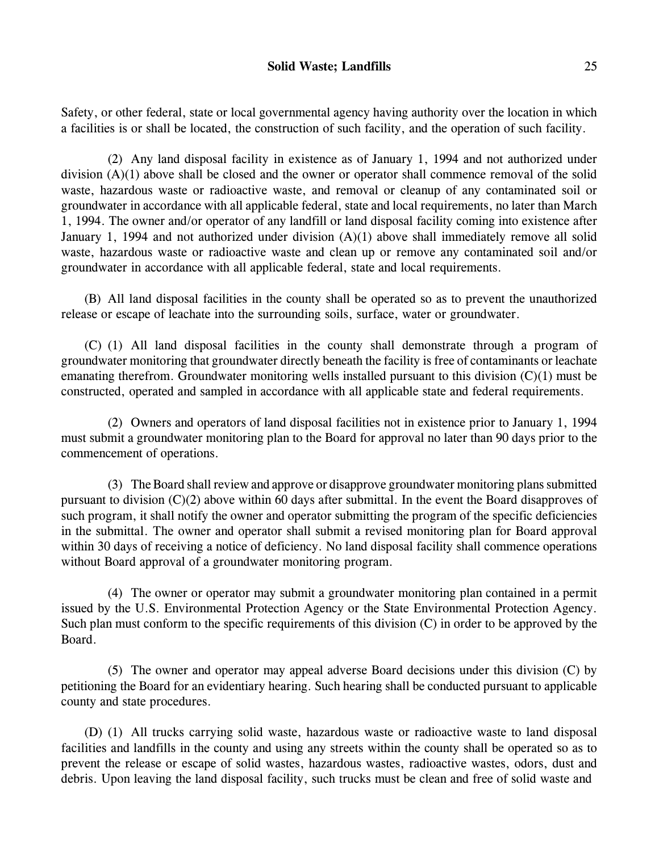Safety, or other federal, state or local governmental agency having authority over the location in which a facilities is or shall be located, the construction of such facility, and the operation of such facility.

(2) Any land disposal facility in existence as of January 1, 1994 and not authorized under division (A)(1) above shall be closed and the owner or operator shall commence removal of the solid waste, hazardous waste or radioactive waste, and removal or cleanup of any contaminated soil or groundwater in accordance with all applicable federal, state and local requirements, no later than March 1, 1994. The owner and/or operator of any landfill or land disposal facility coming into existence after January 1, 1994 and not authorized under division (A)(1) above shall immediately remove all solid waste, hazardous waste or radioactive waste and clean up or remove any contaminated soil and/or groundwater in accordance with all applicable federal, state and local requirements.

(B) All land disposal facilities in the county shall be operated so as to prevent the unauthorized release or escape of leachate into the surrounding soils, surface, water or groundwater.

(C) (1) All land disposal facilities in the county shall demonstrate through a program of groundwater monitoring that groundwater directly beneath the facility is free of contaminants or leachate emanating therefrom. Groundwater monitoring wells installed pursuant to this division (C)(1) must be constructed, operated and sampled in accordance with all applicable state and federal requirements.

(2) Owners and operators of land disposal facilities not in existence prior to January 1, 1994 must submit a groundwater monitoring plan to the Board for approval no later than 90 days prior to the commencement of operations.

(3) The Board shall review and approve or disapprove groundwater monitoring plans submitted pursuant to division (C)(2) above within 60 days after submittal. In the event the Board disapproves of such program, it shall notify the owner and operator submitting the program of the specific deficiencies in the submittal. The owner and operator shall submit a revised monitoring plan for Board approval within 30 days of receiving a notice of deficiency. No land disposal facility shall commence operations without Board approval of a groundwater monitoring program.

(4) The owner or operator may submit a groundwater monitoring plan contained in a permit issued by the U.S. Environmental Protection Agency or the State Environmental Protection Agency. Such plan must conform to the specific requirements of this division (C) in order to be approved by the Board.

(5) The owner and operator may appeal adverse Board decisions under this division (C) by petitioning the Board for an evidentiary hearing. Such hearing shall be conducted pursuant to applicable county and state procedures.

(D) (1) All trucks carrying solid waste, hazardous waste or radioactive waste to land disposal facilities and landfills in the county and using any streets within the county shall be operated so as to prevent the release or escape of solid wastes, hazardous wastes, radioactive wastes, odors, dust and debris. Upon leaving the land disposal facility, such trucks must be clean and free of solid waste and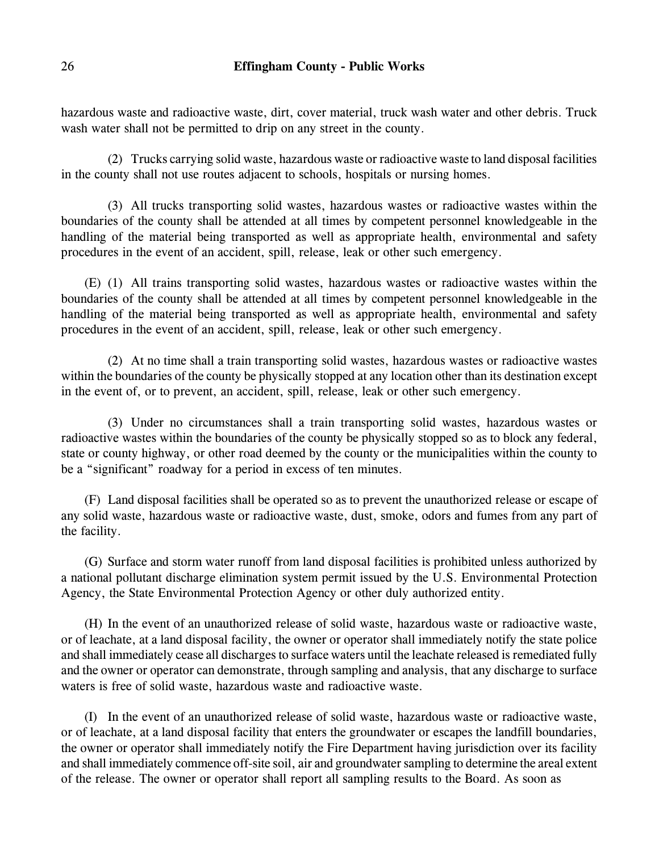hazardous waste and radioactive waste, dirt, cover material, truck wash water and other debris. Truck wash water shall not be permitted to drip on any street in the county.

(2) Trucks carrying solid waste, hazardous waste or radioactive waste to land disposal facilities in the county shall not use routes adjacent to schools, hospitals or nursing homes.

(3) All trucks transporting solid wastes, hazardous wastes or radioactive wastes within the boundaries of the county shall be attended at all times by competent personnel knowledgeable in the handling of the material being transported as well as appropriate health, environmental and safety procedures in the event of an accident, spill, release, leak or other such emergency.

(E) (1) All trains transporting solid wastes, hazardous wastes or radioactive wastes within the boundaries of the county shall be attended at all times by competent personnel knowledgeable in the handling of the material being transported as well as appropriate health, environmental and safety procedures in the event of an accident, spill, release, leak or other such emergency.

(2) At no time shall a train transporting solid wastes, hazardous wastes or radioactive wastes within the boundaries of the county be physically stopped at any location other than its destination except in the event of, or to prevent, an accident, spill, release, leak or other such emergency.

(3) Under no circumstances shall a train transporting solid wastes, hazardous wastes or radioactive wastes within the boundaries of the county be physically stopped so as to block any federal, state or county highway, or other road deemed by the county or the municipalities within the county to be a "significant" roadway for a period in excess of ten minutes.

(F) Land disposal facilities shall be operated so as to prevent the unauthorized release or escape of any solid waste, hazardous waste or radioactive waste, dust, smoke, odors and fumes from any part of the facility.

(G) Surface and storm water runoff from land disposal facilities is prohibited unless authorized by a national pollutant discharge elimination system permit issued by the U.S. Environmental Protection Agency, the State Environmental Protection Agency or other duly authorized entity.

(H) In the event of an unauthorized release of solid waste, hazardous waste or radioactive waste, or of leachate, at a land disposal facility, the owner or operator shall immediately notify the state police and shall immediately cease all discharges to surface waters until the leachate released is remediated fully and the owner or operator can demonstrate, through sampling and analysis, that any discharge to surface waters is free of solid waste, hazardous waste and radioactive waste.

(I) In the event of an unauthorized release of solid waste, hazardous waste or radioactive waste, or of leachate, at a land disposal facility that enters the groundwater or escapes the landfill boundaries, the owner or operator shall immediately notify the Fire Department having jurisdiction over its facility and shall immediately commence off-site soil, air and groundwater sampling to determine the areal extent of the release. The owner or operator shall report all sampling results to the Board. As soon as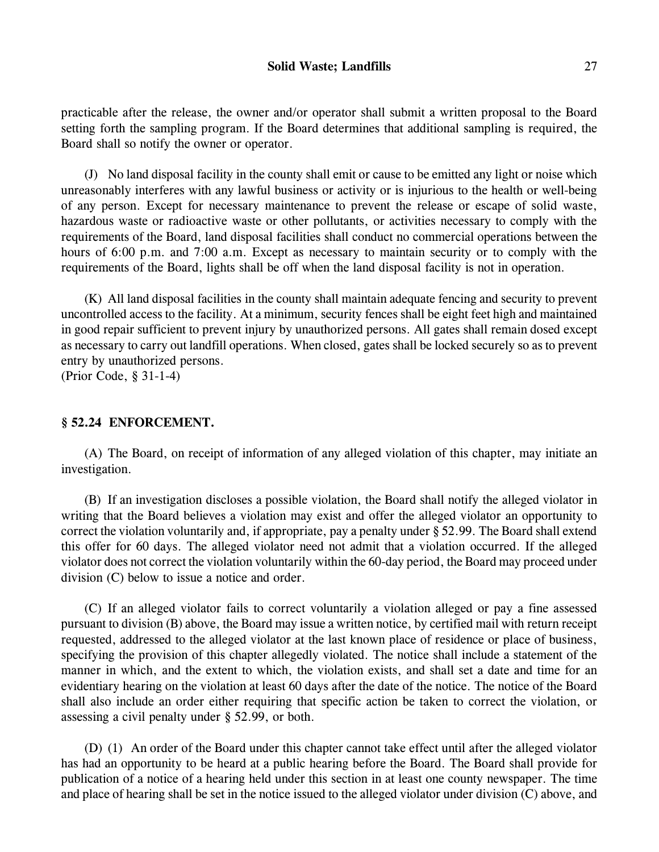practicable after the release, the owner and/or operator shall submit a written proposal to the Board setting forth the sampling program. If the Board determines that additional sampling is required, the Board shall so notify the owner or operator.

(J) No land disposal facility in the county shall emit or cause to be emitted any light or noise which unreasonably interferes with any lawful business or activity or is injurious to the health or well-being of any person. Except for necessary maintenance to prevent the release or escape of solid waste, hazardous waste or radioactive waste or other pollutants, or activities necessary to comply with the requirements of the Board, land disposal facilities shall conduct no commercial operations between the hours of 6:00 p.m. and 7:00 a.m. Except as necessary to maintain security or to comply with the requirements of the Board, lights shall be off when the land disposal facility is not in operation.

(K) All land disposal facilities in the county shall maintain adequate fencing and security to prevent uncontrolled access to the facility. At a minimum, security fences shall be eight feet high and maintained in good repair sufficient to prevent injury by unauthorized persons. All gates shall remain dosed except as necessary to carry out landfill operations. When closed, gates shall be locked securely so as to prevent entry by unauthorized persons.

(Prior Code, § 31-1-4)

### **§ 52.24 ENFORCEMENT.**

(A) The Board, on receipt of information of any alleged violation of this chapter, may initiate an investigation.

(B) If an investigation discloses a possible violation, the Board shall notify the alleged violator in writing that the Board believes a violation may exist and offer the alleged violator an opportunity to correct the violation voluntarily and, if appropriate, pay a penalty under § 52.99. The Board shall extend this offer for 60 days. The alleged violator need not admit that a violation occurred. If the alleged violator does not correct the violation voluntarily within the 60-day period, the Board may proceed under division (C) below to issue a notice and order.

(C) If an alleged violator fails to correct voluntarily a violation alleged or pay a fine assessed pursuant to division (B) above, the Board may issue a written notice, by certified mail with return receipt requested, addressed to the alleged violator at the last known place of residence or place of business, specifying the provision of this chapter allegedly violated. The notice shall include a statement of the manner in which, and the extent to which, the violation exists, and shall set a date and time for an evidentiary hearing on the violation at least 60 days after the date of the notice. The notice of the Board shall also include an order either requiring that specific action be taken to correct the violation, or assessing a civil penalty under § 52.99, or both.

(D) (1) An order of the Board under this chapter cannot take effect until after the alleged violator has had an opportunity to be heard at a public hearing before the Board. The Board shall provide for publication of a notice of a hearing held under this section in at least one county newspaper. The time and place of hearing shall be set in the notice issued to the alleged violator under division (C) above, and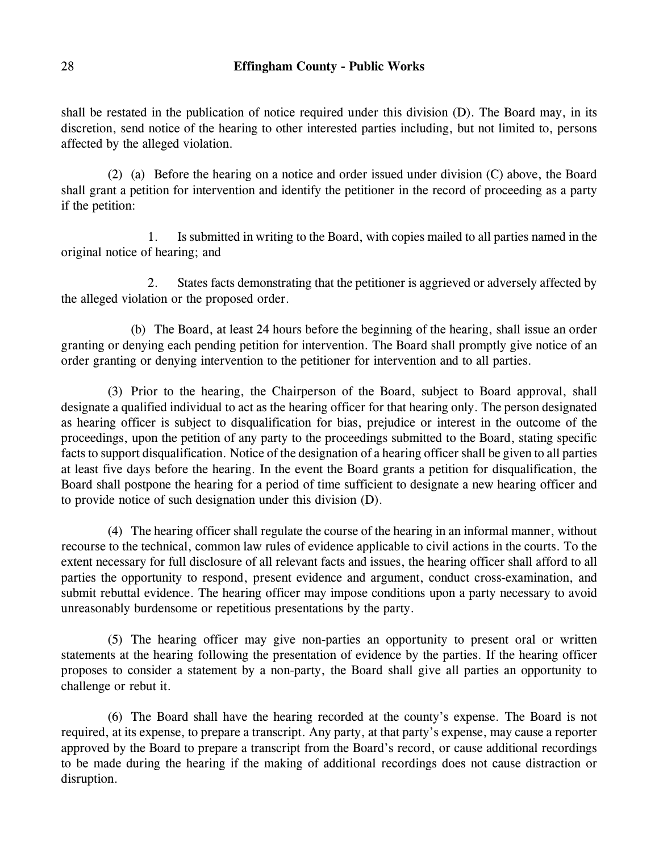shall be restated in the publication of notice required under this division (D). The Board may, in its discretion, send notice of the hearing to other interested parties including, but not limited to, persons affected by the alleged violation.

(2) (a) Before the hearing on a notice and order issued under division (C) above, the Board shall grant a petition for intervention and identify the petitioner in the record of proceeding as a party if the petition:

1. Is submitted in writing to the Board, with copies mailed to all parties named in the original notice of hearing; and

2. States facts demonstrating that the petitioner is aggrieved or adversely affected by the alleged violation or the proposed order.

(b) The Board, at least 24 hours before the beginning of the hearing, shall issue an order granting or denying each pending petition for intervention. The Board shall promptly give notice of an order granting or denying intervention to the petitioner for intervention and to all parties.

(3) Prior to the hearing, the Chairperson of the Board, subject to Board approval, shall designate a qualified individual to act as the hearing officer for that hearing only. The person designated as hearing officer is subject to disqualification for bias, prejudice or interest in the outcome of the proceedings, upon the petition of any party to the proceedings submitted to the Board, stating specific facts to support disqualification. Notice of the designation of a hearing officer shall be given to all parties at least five days before the hearing. In the event the Board grants a petition for disqualification, the Board shall postpone the hearing for a period of time sufficient to designate a new hearing officer and to provide notice of such designation under this division (D).

(4) The hearing officer shall regulate the course of the hearing in an informal manner, without recourse to the technical, common law rules of evidence applicable to civil actions in the courts. To the extent necessary for full disclosure of all relevant facts and issues, the hearing officer shall afford to all parties the opportunity to respond, present evidence and argument, conduct cross-examination, and submit rebuttal evidence. The hearing officer may impose conditions upon a party necessary to avoid unreasonably burdensome or repetitious presentations by the party.

(5) The hearing officer may give non-parties an opportunity to present oral or written statements at the hearing following the presentation of evidence by the parties. If the hearing officer proposes to consider a statement by a non-party, the Board shall give all parties an opportunity to challenge or rebut it.

(6) The Board shall have the hearing recorded at the county's expense. The Board is not required, at its expense, to prepare a transcript. Any party, at that party's expense, may cause a reporter approved by the Board to prepare a transcript from the Board's record, or cause additional recordings to be made during the hearing if the making of additional recordings does not cause distraction or disruption.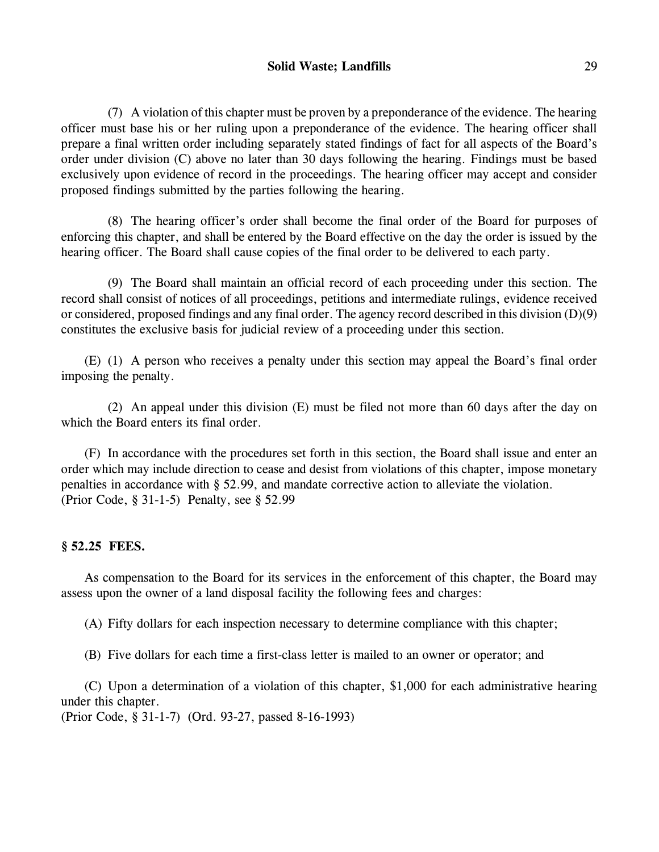# **Solid Waste; Landfills** 29

(7) A violation of this chapter must be proven by a preponderance of the evidence. The hearing officer must base his or her ruling upon a preponderance of the evidence. The hearing officer shall prepare a final written order including separately stated findings of fact for all aspects of the Board's order under division (C) above no later than 30 days following the hearing. Findings must be based exclusively upon evidence of record in the proceedings. The hearing officer may accept and consider proposed findings submitted by the parties following the hearing.

(8) The hearing officer's order shall become the final order of the Board for purposes of enforcing this chapter, and shall be entered by the Board effective on the day the order is issued by the hearing officer. The Board shall cause copies of the final order to be delivered to each party.

(9) The Board shall maintain an official record of each proceeding under this section. The record shall consist of notices of all proceedings, petitions and intermediate rulings, evidence received or considered, proposed findings and any final order. The agency record described in this division (D)(9) constitutes the exclusive basis for judicial review of a proceeding under this section.

(E) (1) A person who receives a penalty under this section may appeal the Board's final order imposing the penalty.

(2) An appeal under this division (E) must be filed not more than 60 days after the day on which the Board enters its final order.

(F) In accordance with the procedures set forth in this section, the Board shall issue and enter an order which may include direction to cease and desist from violations of this chapter, impose monetary penalties in accordance with § 52.99, and mandate corrective action to alleviate the violation. (Prior Code, § 31-1-5) Penalty, see § 52.99

## **§ 52.25 FEES.**

As compensation to the Board for its services in the enforcement of this chapter, the Board may assess upon the owner of a land disposal facility the following fees and charges:

(A) Fifty dollars for each inspection necessary to determine compliance with this chapter;

(B) Five dollars for each time a first-class letter is mailed to an owner or operator; and

(C) Upon a determination of a violation of this chapter, \$1,000 for each administrative hearing under this chapter.

(Prior Code, § 31-1-7) (Ord. 93-27, passed 8-16-1993)